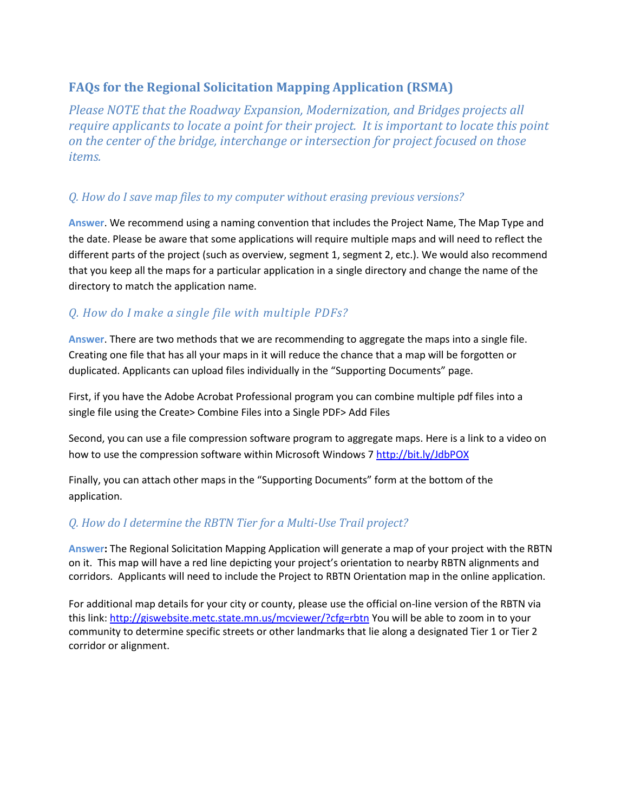# **FAQs for the Regional Solicitation Mapping Application (RSMA)**

*Please NOTE that the Roadway Expansion, Modernization, and Bridges projects all require applicants to locate a point for their project. It is important to locate this point on the center of the bridge, interchange or intersection for project focused on those items.* 

#### *Q. How do I save map files to my computer without erasing previous versions?*

**Answer**. We recommend using a naming convention that includes the Project Name, The Map Type and the date. Please be aware that some applications will require multiple maps and will need to reflect the different parts of the project (such as overview, segment 1, segment 2, etc.). We would also recommend that you keep all the maps for a particular application in a single directory and change the name of the directory to match the application name.

### *Q. How do I make a single file with multiple PDFs?*

**Answer**. There are two methods that we are recommending to aggregate the maps into a single file. Creating one file that has all your maps in it will reduce the chance that a map will be forgotten or duplicated. Applicants can upload files individually in the "Supporting Documents" page.

First, if you have the Adobe Acrobat Professional program you can combine multiple pdf files into a single file using the Create> Combine Files into a Single PDF> Add Files

Second, you can use a file compression software program to aggregate maps. Here is a link to a video on how to use the compression software within Microsoft Windows 7<http://bit.ly/JdbPOX>

Finally, you can attach other maps in the "Supporting Documents" form at the bottom of the application.

#### *Q. How do I determine the RBTN Tier for a Multi-Use Trail project?*

**Answer:** The Regional Solicitation Mapping Application will generate a map of your project with the RBTN on it. This map will have a red line depicting your project's orientation to nearby RBTN alignments and corridors. Applicants will need to include the Project to RBTN Orientation map in the online application.

For additional map details for your city or county, please use the official on-line version of the RBTN via this link:<http://giswebsite.metc.state.mn.us/mcviewer/?cfg=rbtn> You will be able to zoom in to your community to determine specific streets or other landmarks that lie along a designated Tier 1 or Tier 2 corridor or alignment.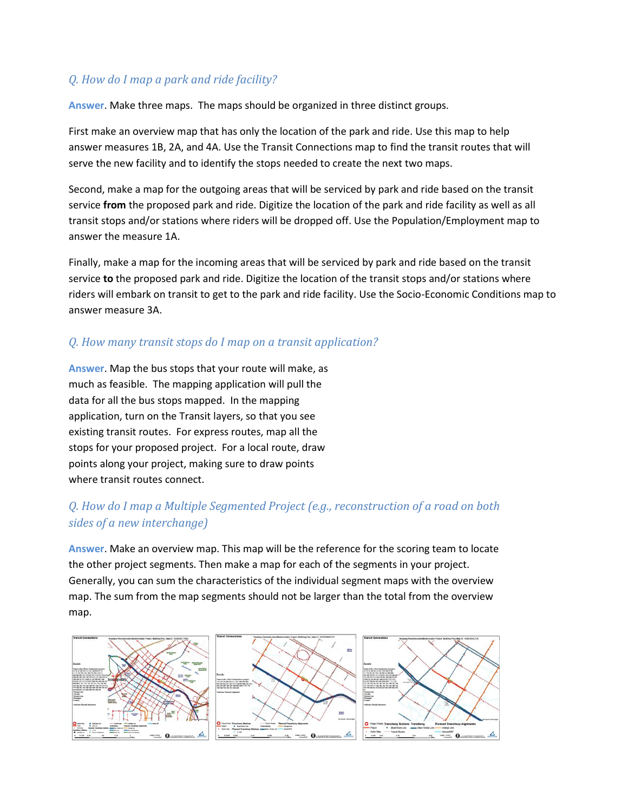## *Q. How do I map a park and ride facility?*

**Answer**. Make three maps. The maps should be organized in three distinct groups.

First make an overview map that has only the location of the park and ride. Use this map to help answer measures 1B, 2A, and 4A. Use the Transit Connections map to find the transit routes that will serve the new facility and to identify the stops needed to create the next two maps.

Second, make a map for the outgoing areas that will be serviced by park and ride based on the transit service **from** the proposed park and ride. Digitize the location of the park and ride facility as well as all transit stops and/or stations where riders will be dropped off. Use the Population/Employment map to answer the measure 1A.

Finally, make a map for the incoming areas that will be serviced by park and ride based on the transit service **to** the proposed park and ride. Digitize the location of the transit stops and/or stations where riders will embark on transit to get to the park and ride facility. Use the Socio-Economic Conditions map to answer measure 3A.

### *Q. How many transit stops do I map on a transit application?*

**Answer**. Map the bus stops that your route will make, as much as feasible. The mapping application will pull the data for all the bus stops mapped. In the mapping application, turn on the Transit layers, so that you see existing transit routes. For express routes, map all the stops for your proposed project. For a local route, draw points along your project, making sure to draw points where transit routes connect.

## *Q. How do I map a Multiple Segmented Project (e.g., reconstruction of a road on both sides of a new interchange)*

**Answer**. Make an overview map. This map will be the reference for the scoring team to locate the other project segments. Then make a map for each of the segments in your project. Generally, you can sum the characteristics of the individual segment maps with the overview map. The sum from the map segments should not be larger than the total from the overview map.